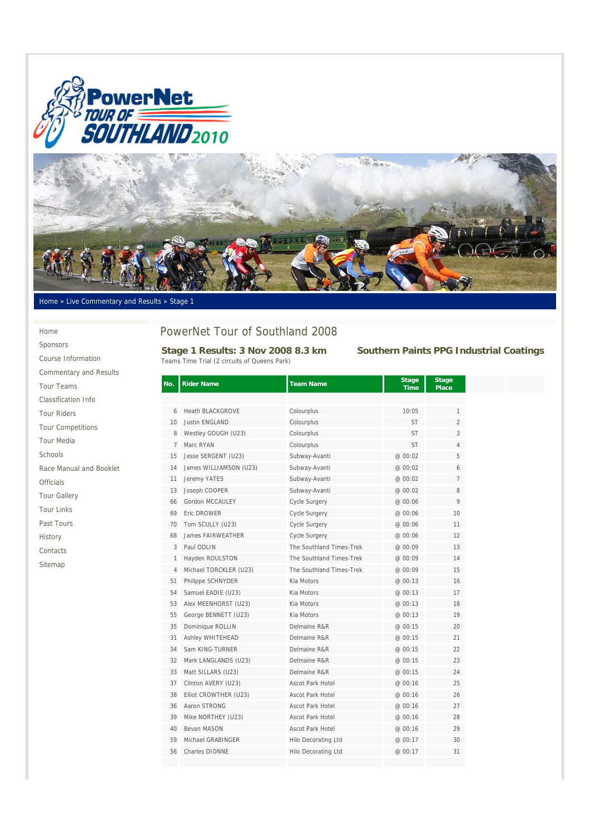



#### Home » Live Commentary and Results » Stage 1

# Home Sponsors

| <b>Commentary and Results</b> |
|-------------------------------|
| <b>Tour Teams</b>             |
| Classification Info           |
| <b>Tour Riders</b>            |
| <b>Tour Competitions</b>      |
| <b>Tour Media</b>             |
| Schools                       |

Course Information

Race Manual and Booklet

Officials

Tour Gallery

Tour Links

Past Tours

History

Contacts

Sitemap

# PowerNet Tour of Southland 2008

**Stage 1 Results: 3 Nov 2008 8.3 km Southern Paints PPG Industrial Coatings** Teams Time Trial (2 circuits of Queens Park)

| No.            | <b>Rider Name</b>       | <b>Team Name</b>           | <b>Stage</b><br><b>Time</b> | <b>Stage</b><br><b>Place</b> |
|----------------|-------------------------|----------------------------|-----------------------------|------------------------------|
|                |                         |                            |                             |                              |
| 6              | <b>Heath BLACKGROVE</b> | Colourplus                 | 10:05                       | 1                            |
| 10             | <b>Justin ENGLAND</b>   | Colourplus                 | <b>ST</b>                   | $\overline{2}$               |
| 8              | Westley GOUGH (U23)     | Colourplus                 | <b>ST</b>                   | 3                            |
| $\overline{7}$ | Marc RYAN               | Colourplus                 | <b>ST</b>                   | 4                            |
| 15             | Jesse SERGENT (U23)     | Subway-Avanti              | @ 00:02                     | 5                            |
| 14             | James WILLIAMSON (U23)  | Subway-Avanti              | @ 00:02                     | 6                            |
| 11             | Jeremy YATES            | Subway-Avanti              | @ 00:02                     | $\overline{7}$               |
| 13             | Joseph COOPER           | Subway-Avanti              | @ 00:02                     | 8                            |
| 66             | Gordon MCCAULEY         | Cycle Surgery              | @ 00:06                     | 9                            |
| 69             | Eric DROWER             | Cycle Surgery              | @ 00:06                     | 10                           |
| 70             | Tom SCULLY (U23)        | <b>Cycle Surgery</b>       | @ 00:06                     | 11                           |
| 68             | James FAIRWEATHER       | <b>Cycle Surgery</b>       | @ 00:06                     | 12                           |
| 3              | Paul ODLIN              | The Southland Times-Trek   | @ 00:09                     | 13                           |
| 1              | Hayden ROULSTON         | The Southland Times-Trek   | @ 00:09                     | 14                           |
| 4              | Michael TORCKLER (U23)  | The Southland Times-Trek   | @ 00:09                     | 15                           |
| 51             | Philippe SCHNYDER       | Kia Motors                 | @ 00:13                     | 16                           |
| 54             | Samuel EADIE (U23)      | Kia Motors                 | @ 00:13                     | 17                           |
| 53             | Alex MEENHORST (U23)    | Kia Motors                 | @ 00:13                     | 18                           |
| 55             | George BENNETT (U23)    | Kia Motors                 | @00:13                      | 19                           |
| 35             | Dominique ROLLIN        | Delmaine R&R               | @ 00:15                     | 20                           |
| 31             | Ashley WHITEHEAD        | Delmaine R&R               | @ 00:15                     | 21                           |
| 34             | Sam KING-TURNER         | Delmaine R&R               | @ 00:15                     | 22                           |
| 32             | Mark LANGLANDS (U23)    | Delmaine R&R               | @ 00:15                     | 23                           |
| 33             | Matt SILLARS (U23)      | Delmaine R&R               | @ 00:15                     | 24                           |
| 37             | Clinton AVERY (U23)     | <b>Ascot Park Hotel</b>    | @ 00:16                     | 25                           |
| 38             | Elliot CROWTHER (U23)   | <b>Ascot Park Hotel</b>    | @ 00:16                     | 26                           |
| 36             | Aaron STRONG            | Ascot Park Hotel           | @ 00:16                     | 27                           |
| 39             | Mike NORTHEY (U23)      | Ascot Park Hotel           | @ 00:16                     | 28                           |
| 40             | Bevan MASON             | Ascot Park Hotel           | @ 00:16                     | 29                           |
| 59             | Michael GRABINGER       | Hilo Decorating Ltd        | @ 00:17                     | 30                           |
| 56             | Charles DIONNE          | <b>Hilo Decorating Ltd</b> | @ 00:17                     | 31                           |
|                |                         |                            |                             |                              |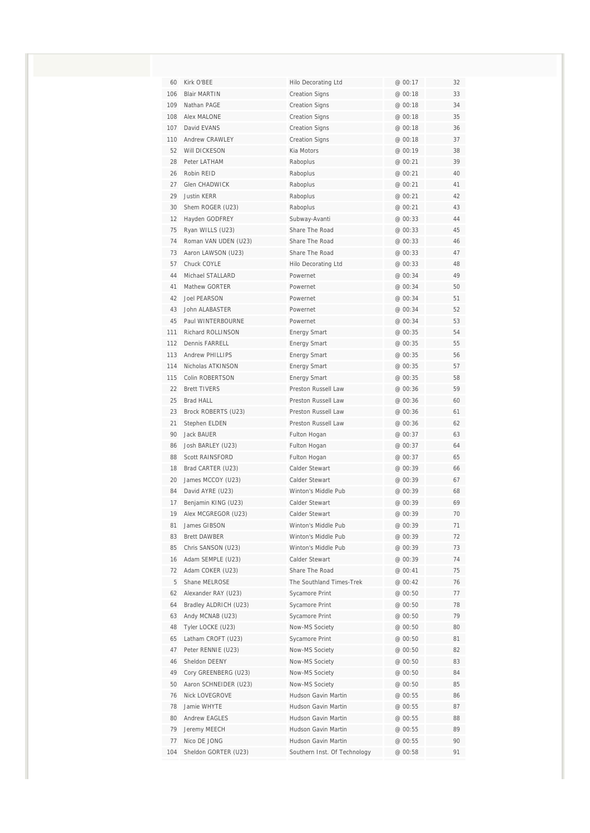| 60  | Kirk O'BEE            | <b>Hilo Decorating Ltd</b>   | @ 00:17 | 32 |
|-----|-----------------------|------------------------------|---------|----|
| 106 | <b>Blair MARTIN</b>   | <b>Creation Signs</b>        | @ 00:18 | 33 |
| 109 | Nathan PAGE           | <b>Creation Signs</b>        | @ 00:18 | 34 |
| 108 | Alex MALONE           | <b>Creation Signs</b>        | @ 00:18 | 35 |
| 107 | David EVANS           | <b>Creation Signs</b>        | @ 00:18 | 36 |
| 110 | <b>Andrew CRAWLEY</b> | <b>Creation Signs</b>        | @ 00:18 | 37 |
| 52  | <b>Will DICKESON</b>  | Kia Motors                   | @ 00:19 | 38 |
| 28  | Peter LATHAM          | Raboplus                     | @ 00:21 | 39 |
| 26  | Robin RFID            | Raboplus                     | @ 00:21 | 40 |
| 27  | <b>Glen CHADWICK</b>  | Raboplus                     | @ 00:21 | 41 |
| 29  | <b>Justin KERR</b>    | Raboplus                     | @ 00:21 | 42 |
| 30  | Shem ROGER (U23)      | Raboplus                     | @ 00:21 | 43 |
| 12  | Hayden GODFREY        | Subway-Avanti                | @ 00:33 | 44 |
| 75  | Ryan WILLS (U23)      | Share The Road               | @ 00:33 | 45 |
| 74  | Roman VAN UDEN (U23)  | Share The Road               | @ 00:33 | 46 |
| 73  | Aaron LAWSON (U23)    | Share The Road               | @ 00:33 | 47 |
| 57  | Chuck COYLE           | <b>Hilo Decorating Ltd</b>   | @00:33  | 48 |
| 44  | Michael STALLARD      | Powernet                     | @ 00:34 | 49 |
| 41  | Mathew GORTER         | Powernet                     | @ 00:34 | 50 |
| 42  | <b>Joel PEARSON</b>   | Powernet                     | @ 00:34 | 51 |
| 43  | John ALABASTER        | Powernet                     | @ 00:34 | 52 |
| 45  | Paul WINTERBOURNE     | Powernet                     | @ 00:34 | 53 |
| 111 | Richard ROLLINSON     | <b>Energy Smart</b>          | @ 00:35 | 54 |
| 112 | Dennis FARRELL        | <b>Energy Smart</b>          | @ 00:35 | 55 |
| 113 | Andrew PHILLIPS       | <b>Energy Smart</b>          | @ 00:35 | 56 |
| 114 | Nicholas ATKINSON     | <b>Energy Smart</b>          | @ 00:35 | 57 |
| 115 | Colin ROBERTSON       | <b>Energy Smart</b>          | @ 00:35 | 58 |
| 22  | <b>Brett TIVERS</b>   | Preston Russell Law          | @ 00:36 | 59 |
| 25  | <b>Brad HALL</b>      | Preston Russell Law          | @ 00:36 | 60 |
| 23  | Brock ROBERTS (U23)   | Preston Russell Law          | @ 00:36 | 61 |
| 21  | Stephen ELDEN         | Preston Russell Law          | @ 00:36 | 62 |
| 90  | Jack BAUER            | Fulton Hogan                 | @ 00:37 | 63 |
| 86  | Josh BARLEY (U23)     | Fulton Hogan                 | @ 00:37 | 64 |
| 88  | Scott RAINSFORD       | Fulton Hogan                 | @ 00:37 | 65 |
| 18  | Brad CARTER (U23)     | Calder Stewart               | @ 00:39 | 66 |
| 20  | James MCCOY (U23)     | Calder Stewart               | @ 00:39 | 67 |
| 84  | David AYRE (U23)      | Winton's Middle Pub          | @ 00:39 | 68 |
| 17  | Benjamin KING (U23)   | Calder Stewart               | @ 00:39 | 69 |
| 19  | Alex MCGREGOR (U23)   | Calder Stewart               | @ 00:39 | 70 |
| 81  | James GIBSON          | Winton's Middle Pub          | @ 00:39 | 71 |
| 83  | Brett DAWBER          | Winton's Middle Pub          | @ 00:39 | 72 |
| 85  | Chris SANSON (U23)    | Winton's Middle Pub          | @ 00:39 | 73 |
| 16  | Adam SEMPLE (U23)     | Calder Stewart               | @ 00:39 | 74 |
| 72  | Adam COKER (U23)      | Share The Road               | @ 00:41 | 75 |
| 5   | Shane MELROSE         | The Southland Times-Trek     | @ 00:42 | 76 |
| 62  | Alexander RAY (U23)   | Sycamore Print               | @ 00:50 | 77 |
| 64  | Bradley ALDRICH (U23) | Sycamore Print               | @ 00:50 | 78 |
| 63  | Andy MCNAB (U23)      | Sycamore Print               | @ 00:50 | 79 |
| 48  | Tyler LOCKE (U23)     | Now-MS Society               | @ 00:50 | 80 |
| 65  | Latham CROFT (U23)    | Sycamore Print               | @ 00:50 | 81 |
| 47  | Peter RENNIE (U23)    | Now-MS Society               | @ 00:50 | 82 |
| 46  | Sheldon DEENY         | Now-MS Society               | @ 00:50 | 83 |
| 49  | Cory GREENBERG (U23)  | Now-MS Society               | @ 00:50 | 84 |
| 50  | Aaron SCHNEIDER (U23) | Now-MS Society               | @ 00:50 | 85 |
| 76  | Nick LOVEGROVE        | Hudson Gavin Martin          | @ 00:55 | 86 |
| 78  | Jamie WHYTE           | Hudson Gavin Martin          | @ 00:55 | 87 |
| 80  | <b>Andrew EAGLES</b>  | Hudson Gavin Martin          | @ 00:55 | 88 |
| 79  | Jeremy MEECH          | Hudson Gavin Martin          | @ 00:55 | 89 |
| 77  | Nico DE JONG          | Hudson Gavin Martin          | @ 00:55 | 90 |
| 104 | Sheldon GORTER (U23)  | Southern Inst. Of Technology | @ 00:58 | 91 |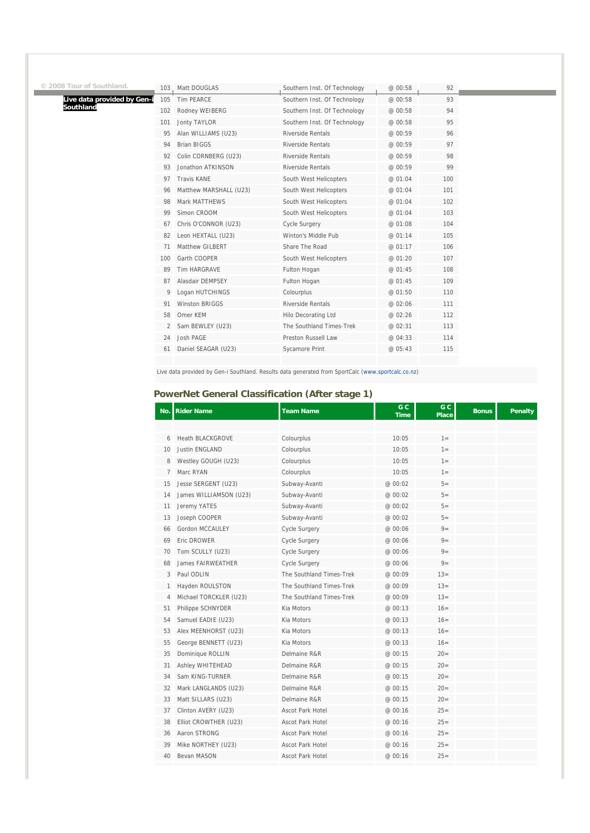| 3 Tour of Southland.        |     | 103 , Matt DOUGLAS     | Southern Inst. Of Technology | @ 00:58 | 92  |
|-----------------------------|-----|------------------------|------------------------------|---------|-----|
| Live data provided by Gen-i | 105 | <b>Tim PEARCE</b>      | Southern Inst. Of Technology | @ 00:58 | 93  |
| Southland                   | 102 | Rodney WEIBERG         | Southern Inst. Of Technology | @ 00:58 | 94  |
|                             | 101 | Jonty TAYLOR           | Southern Inst. Of Technology | @ 00:58 | 95  |
|                             | 95  | Alan WILLIAMS (U23)    | Riverside Rentals            | @ 00:59 | 96  |
|                             | 94  | <b>Brian BIGGS</b>     | <b>Riverside Rentals</b>     | @ 00:59 | 97  |
|                             | 92  | Colin CORNBERG (U23)   | Riverside Rentals            | @ 00:59 | 98  |
|                             | 93  | Jonathon ATKINSON      | Riverside Rentals            | @ 00:59 | 99  |
|                             | 97  | Travis KANE            | South West Helicopters       | @ 01:04 | 100 |
|                             | 96  | Matthew MARSHALL (U23) | South West Helicopters       | @ 01:04 | 101 |
|                             | 98  | Mark MATTHEWS          | South West Helicopters       | @ 01:04 | 102 |
|                             | 99  | Simon CROOM            | South West Helicopters       | @ 01:04 | 103 |
|                             | 67  | Chris O'CONNOR (U23)   | Cycle Surgery                | @ 01:08 | 104 |
|                             | 82  | Leon HEXTALL (U23)     | Winton's Middle Pub          | @ 01:14 | 105 |
|                             | 71  | Matthew GILBERT        | Share The Road               | @ 01:17 | 106 |
|                             | 100 | Garth COOPER           | South West Helicopters       | @ 01:20 | 107 |
|                             | 89  | <b>Tim HARGRAVE</b>    | Fulton Hogan                 | @ 01:45 | 108 |
|                             | 87  | Alasdair DEMPSEY       | Fulton Hogan                 | @ 01:45 | 109 |
|                             | 9   | Logan HUTCHINGS        | Colourplus                   | @ 01:50 | 110 |
|                             | 91  | <b>Winston BRIGGS</b>  | Riverside Rentals            | @ 02:06 | 111 |
|                             | 58  | Omer KEM               | Hilo Decorating Ltd          | @ 02:26 | 112 |
|                             |     | Sam BEWLEY (U23)       | The Southland Times-Trek     | @ 02:31 | 113 |
|                             | 24  | Josh PAGE              | Preston Russell Law          | @ 04:33 | 114 |
|                             | 61  | Daniel SEAGAR (U23)    | <b>Sycamore Print</b>        | @ 05:43 | 115 |
|                             |     |                        |                              |         |     |

Live data provided by Gen-i Southland. Results data generated from SportCalc (www.sportcalc.co.nz)

#### **PowerNet General Classification (After stage 1)**

**© 2008 Tour of Southland.** 

| No. | <b>Rider Name</b>        | Team Name                | G C<br><b>Time</b> | G C<br>Place | <b>Bonus</b> | <b>Penalty</b> |
|-----|--------------------------|--------------------------|--------------------|--------------|--------------|----------------|
|     |                          |                          |                    |              |              |                |
| 6   | <b>Heath BLACKGROVE</b>  | Colourplus               | 10:05              | $1 =$        |              |                |
| 10  | Justin ENGLAND           | Colourplus               | 10:05              | $1 =$        |              |                |
| 8   | Westley GOUGH (U23)      | Colourplus               | 10:05              | $1 =$        |              |                |
| 7   | Marc RYAN                | Colourplus               | 10:05              | $1 =$        |              |                |
| 15  | Jesse SERGENT (U23)      | Subway-Avanti            | @ 00:02            | $5=$         |              |                |
| 14  | James WILLIAMSON (U23)   | Subway-Avanti            | @ 00:02            | $5=$         |              |                |
| 11  | Jeremy YATES             | Subway-Avanti            | @ 00:02            | $5=$         |              |                |
| 13  | Joseph COOPER            | Subway-Avanti            | @ 00:02            | $5=$         |              |                |
| 66  | Gordon MCCAULEY          | Cycle Surgery            | @ 00:06            | $9=$         |              |                |
| 69  | Eric DROWER              | Cycle Surgery            | @ 00:06            | $9=$         |              |                |
| 70  | Tom SCULLY (U23)         | Cycle Surgery            | @ 00:06            | $9=$         |              |                |
| 68  | <b>James FAIRWEATHER</b> | Cycle Surgery            | @ 00:06            | $9=$         |              |                |
| 3   | Paul ODLIN               | The Southland Times-Trek | @ 00:09            | $13 =$       |              |                |
| 1   | Hayden ROULSTON          | The Southland Times-Trek | @ 00:09            | $13 =$       |              |                |
| 4   | Michael TORCKLER (U23)   | The Southland Times-Trek | @ 00:09            | $13 =$       |              |                |
| 51  | Philippe SCHNYDER        | Kia Motors               | @ 00:13            | $16=$        |              |                |
| 54  | Samuel EADIE (U23)       | Kia Motors               | @ 00:13            | $16 =$       |              |                |
| 53  | Alex MEENHORST (U23)     | Kia Motors               | @ 00:13            | $16=$        |              |                |
| 55  | George BENNETT (U23)     | Kia Motors               | @ 00:13            | $16=$        |              |                |
| 35  | Dominique ROLLIN         | Delmaine R&R             | @ 00:15            | $20 =$       |              |                |
| 31  | <b>Ashley WHITEHEAD</b>  | Delmaine R&R             | @ 00:15            | $20 =$       |              |                |
| 34  | Sam KING-TURNER          | Delmaine R&R             | @ 00:15            | $20=$        |              |                |
| 32  | Mark LANGLANDS (U23)     | Delmaine R&R             | @ 00:15            | $20 =$       |              |                |
| 33  | Matt SILLARS (U23)       | Delmaine R&R             | @ 00:15            | $20 =$       |              |                |
| 37  | Clinton AVERY (U23)      | Ascot Park Hotel         | @ 00:16            | $25=$        |              |                |
| 38  | Elliot CROWTHER (U23)    | <b>Ascot Park Hotel</b>  | @ 00:16            | $25=$        |              |                |
| 36  | Aaron STRONG             | Ascot Park Hotel         | @ 00:16            | $25=$        |              |                |
| 39  | Mike NORTHEY (U23)       | Ascot Park Hotel         | @ 00:16            | $25=$        |              |                |
| 40  | Bevan MASON              | Ascot Park Hotel         | @ 00:16            | $25=$        |              |                |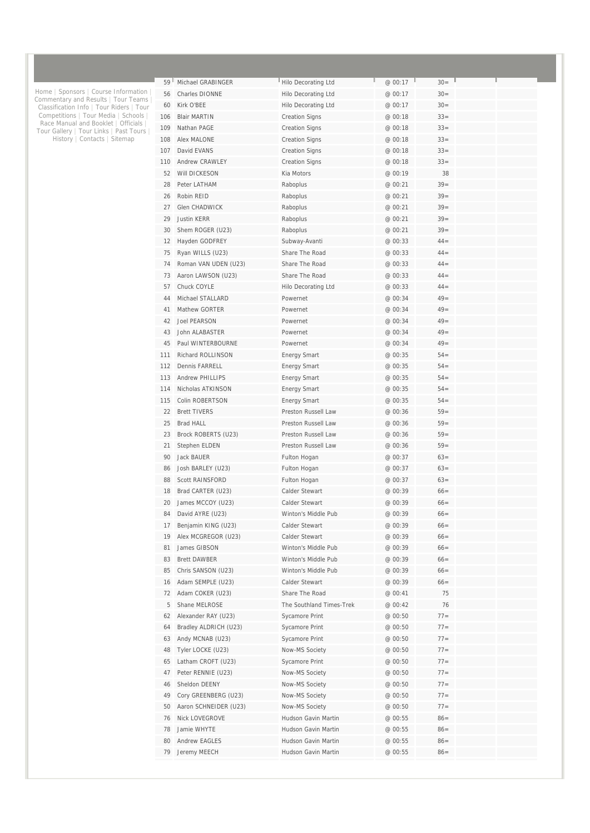| 59         | Michael GRABINGER                           | Hilo Decorating Ltd                        | @ 00:17            | $30=$            |  |
|------------|---------------------------------------------|--------------------------------------------|--------------------|------------------|--|
| 56         | Charles DIONNE                              | Hilo Decorating Ltd                        | @ 00:17            | $30=$            |  |
| 60         | Kirk O'BEE                                  | Hilo Decorating Ltd                        | @ 00:17            | $30=$            |  |
| 106        | <b>Blair MARTIN</b>                         | <b>Creation Signs</b>                      | @ 00:18            | $33 =$           |  |
| 109        | Nathan PAGF                                 | <b>Creation Signs</b>                      | @ 00:18            | $33 =$           |  |
| 108        | Alex MALONE                                 | <b>Creation Signs</b>                      | @ 00:18            | $33 =$           |  |
| 107        | David EVANS                                 | <b>Creation Signs</b>                      | @ 00:18            | $33 =$           |  |
| 110        | <b>Andrew CRAWLEY</b>                       | <b>Creation Signs</b>                      | @ 00:18            | $33 =$           |  |
| 52         | Will DICKESON                               | Kia Motors                                 | @ 00:19            | 38               |  |
| 28         | Peter LATHAM                                | Raboplus                                   | @ 00:21            | $39 =$           |  |
| 26         | Robin REID                                  | Raboplus                                   | @ 00:21            | $39=$            |  |
| 27         | Glen CHADWICK                               | Raboplus                                   | @ 00:21            | $39 =$           |  |
| 29         | <b>Justin KERR</b>                          | Raboplus                                   | @ 00:21            | $39 =$           |  |
| 30         | Shem ROGER (U23)                            | Raboplus                                   | @ 00:21            | $39 =$           |  |
| 12         | Hayden GODFREY                              | Subway-Avanti                              | @ 00:33            | $44 =$           |  |
| 75         | Ryan WILLS (U23)                            | Share The Road                             | @ 00:33            | $44 =$           |  |
| 74         | Roman VAN UDEN (U23)                        | Share The Road                             | @ 00:33            | $44 =$           |  |
| 73         | Aaron LAWSON (U23)                          | Share The Road                             | @ 00:33            | $44 =$           |  |
| 57         | Chuck COYLE                                 | Hilo Decorating Ltd                        | @ 00:33            | $44 =$           |  |
| 44         | Michael STALLARD                            | Powernet                                   | @ 00:34            | $49=$            |  |
| 41         | Mathew GORTER                               | Powernet                                   | @ 00:34            | $49=$            |  |
| 42         | <b>Joel PEARSON</b>                         | Powernet                                   | @ 00:34            | $49=$            |  |
| 43         | John ALABASTER                              | Powernet                                   | @ 00:34            | $49=$            |  |
| 45         | Paul WINTERBOURNE                           | Powernet                                   | @ 00:34            | $49=$            |  |
| 111        | <b>Richard ROLLINSON</b>                    | <b>Energy Smart</b>                        | @ 00:35            | $54=$            |  |
| 112        | Dennis FARRELL                              | <b>Energy Smart</b>                        | @ 00:35            | $54 =$           |  |
| 113<br>114 | <b>Andrew PHILLIPS</b><br>Nicholas ATKINSON | <b>Energy Smart</b>                        | @ 00:35            | $54 =$<br>$54 =$ |  |
| 115        | Colin ROBERTSON                             | <b>Energy Smart</b>                        | @ 00:35<br>@ 00:35 | $54 =$           |  |
| 22         | <b>Brett TIVERS</b>                         | <b>Energy Smart</b><br>Preston Russell Law | @ 00:36            | $59=$            |  |
| 25         | <b>Brad HALL</b>                            | <b>Preston Russell Law</b>                 | @ 00:36            | $59=$            |  |
| 23         | Brock ROBERTS (U23)                         | Preston Russell Law                        | @ 00:36            | $59=$            |  |
| 21         | Stephen ELDEN                               | Preston Russell Law                        | @ 00:36            | $59=$            |  |
| 90         | <b>Jack BAUER</b>                           | Fulton Hogan                               | @ 00:37            | $63=$            |  |
| 86         | Josh BARLEY (U23)                           | Fulton Hogan                               | @ 00:37            | $63=$            |  |
| 88         | <b>Scott RAINSFORD</b>                      | Fulton Hogan                               | @ 00:37            | $63=$            |  |
| 18         | Brad CARTER (U23)                           | Calder Stewart                             | @ 00:39            | $66=$            |  |
| 20         | James MCCOY (U23)                           | Calder Stewart                             | @ 00:39            | $66=$            |  |
| 84         | David AYRE (U23)                            | Winton's Middle Pub                        | @ 00:39            | $66=$            |  |
| 17         | Benjamin KING (U23)                         | Calder Stewart                             | @ 00:39            | $66=$            |  |
| 19         | Alex MCGREGOR (U23)                         | Calder Stewart                             | @ 00:39            | $66=$            |  |
| 81         | James GIBSON                                | Winton's Middle Pub                        | @ 00:39            | $66=$            |  |
| 83         | <b>Brett DAWBER</b>                         | Winton's Middle Pub                        | @ 00:39            | $66=$            |  |
| 85         | Chris SANSON (U23)                          | Winton's Middle Pub                        | @ 00:39            | $66=$            |  |
| 16         | Adam SEMPLE (U23)                           | Calder Stewart                             | @ 00:39            | $66=$            |  |
| 72         | Adam COKER (U23)                            | Share The Road                             | @ 00:41            | 75               |  |
| 5          | Shane MELROSE                               | The Southland Times-Trek                   | @ 00:42            | 76               |  |
| 62         | Alexander RAY (U23)                         | Sycamore Print                             | @ 00:50            | $77 =$           |  |
| 64         | Bradley ALDRICH (U23)                       | Sycamore Print                             | @ 00:50            | $77 =$           |  |
| 63         | Andy MCNAB (U23)                            | Sycamore Print                             | @ 00:50            | $77 =$           |  |
| 48         | Tyler LOCKE (U23)                           | Now-MS Society                             | @ 00:50            | $77 =$           |  |
| 65         | Latham CROFT (U23)                          | Sycamore Print                             | @ 00:50            | $77 =$           |  |
| 47         | Peter RENNIE (U23)                          | Now-MS Society                             | @ 00:50            | $77 =$           |  |
| 46         | Sheldon DEENY                               | Now-MS Society                             | @ 00:50            | $77 =$           |  |
| 49         | Cory GREENBERG (U23)                        | Now-MS Society                             | @ 00:50            | $77 =$           |  |
| 50         | Aaron SCHNEIDER (U23)                       | Now-MS Society                             | @ 00:50            | $77 =$           |  |
| 76         | Nick LOVEGROVE                              | Hudson Gavin Martin                        | @ 00:55            | $86=$            |  |
| 78         | Jamie WHYTE                                 | Hudson Gavin Martin                        | @ 00:55            | $86=$            |  |
| 80         | Andrew EAGLES                               | Hudson Gavin Martin                        | @ 00:55            | $86 =$           |  |
| 79         | Jeremy MEECH                                | Hudson Gavin Martin                        | @ 00:55            | $86=$            |  |

Home | Sponsors | Course Information | Commentary and Results | Tour Teams | Classification Info | Tour Riders | Tour Competitions | Tour Media | Schools | Race Manual and Booklet | Officials | Tour Gallery | Tour Links | Past Tours | History | Contacts | Sitemap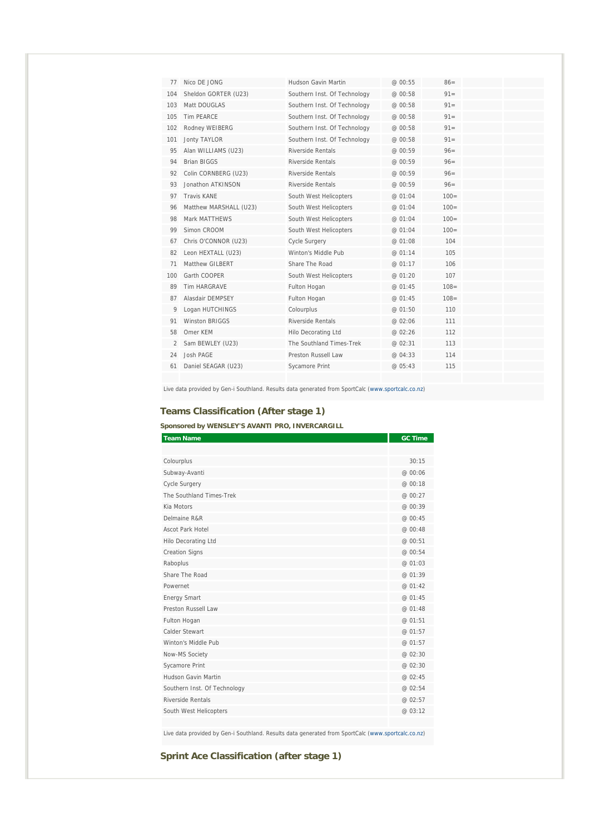| 77             | Nico DE JONG           | Hudson Gavin Martin          | @00:55  | $86=$   |  |
|----------------|------------------------|------------------------------|---------|---------|--|
| 104            | Sheldon GORTER (U23)   | Southern Inst. Of Technology | @ 00:58 | $91 =$  |  |
| 103            | Matt DOUGLAS           | Southern Inst. Of Technology | @ 00:58 | $91 =$  |  |
| 105            | Tim PFARCF             | Southern Inst. Of Technology | @ 00:58 | $91 =$  |  |
| 102            | Rodney WEIBERG         | Southern Inst. Of Technology | @ 00:58 | $91 =$  |  |
| 101            | <b>Jonty TAYLOR</b>    | Southern Inst. Of Technology | @ 00:58 | $91 =$  |  |
| 95             | Alan WILLIAMS (U23)    | Riverside Rentals            | @00:59  | $96 =$  |  |
| 94             | <b>Brian BIGGS</b>     | Riverside Rentals            | @ 00:59 | $96 =$  |  |
| 92             | Colin CORNBERG (U23)   | Riverside Rentals            | @00:59  | $96 =$  |  |
| 93             | Jonathon ATKINSON      | <b>Riverside Rentals</b>     | @ 00:59 | $96 =$  |  |
| 97             | <b>Travis KANF</b>     | South West Helicopters       | @ 01:04 | $100 =$ |  |
| 96             | Matthew MARSHALL (U23) | South West Helicopters       | @ 01:04 | $100 =$ |  |
| 98             | Mark MATTHEWS          | South West Helicopters       | @ 01:04 | $100 =$ |  |
| 99             | Simon CROOM            | South West Helicopters       | @ 01:04 | $100 =$ |  |
| 67             | Chris O'CONNOR (U23)   | <b>Cycle Surgery</b>         | @ 01:08 | 104     |  |
| 82             | Leon HEXTALL (U23)     | Winton's Middle Pub          | @ 01:14 | 105     |  |
| 71             | Matthew GILBERT        | Share The Road               | @ 01:17 | 106     |  |
| 100            | Garth COOPER           | South West Helicopters       | @ 01:20 | 107     |  |
| 89             | <b>Tim HARGRAVE</b>    | Fulton Hogan                 | @ 01:45 | $108 =$ |  |
| 87             | Alasdair DEMPSEY       | Fulton Hogan                 | @ 01:45 | $108 =$ |  |
| 9              | Logan HUTCHINGS        | Colourplus                   | @ 01:50 | 110     |  |
| 91             | Winston BRIGGS         | Riverside Rentals            | @ 02:06 | 111     |  |
| 58             | Omer KFM               | <b>Hilo Decorating Ltd</b>   | @ 02:26 | 112     |  |
| $\mathfrak{D}$ | Sam BEWLEY (U23)       | The Southland Times-Trek     | @ 02:31 | 113     |  |
| 24             | Josh PAGE              | Preston Russell Law          | @04:33  | 114     |  |
| 61             | Daniel SEAGAR (U23)    | Sycamore Print               | @ 05:43 | 115     |  |
|                |                        |                              |         |         |  |

Live data provided by Gen-i Southland. Results data generated from SportCalc (www.sportcalc.co.nz)

# **Teams Classification (After stage 1)**

### **Sponsored by WENSLEY'S AVANTI PRO, INVERCARGILL**

| <b>Team Name</b>             | <b>GC Time</b> |
|------------------------------|----------------|
|                              |                |
| Colourplus                   | 30:15          |
| Subway-Avanti                | @ 00:06        |
| Cycle Surgery                | @ 00:18        |
| The Southland Times-Trek     | @ 00:27        |
| Kia Motors                   | @ 00:39        |
| Delmaine R&R                 | @ 00:45        |
| Ascot Park Hotel             | @ 00:48        |
| Hilo Decorating Ltd          | @ 00:51        |
| <b>Creation Signs</b>        | @ 00:54        |
| Raboplus                     | @ 01:03        |
| Share The Road               | @ 01:39        |
| Powernet                     | @ 01:42        |
| <b>Energy Smart</b>          | @ 01:45        |
| Preston Russell Law          | @ 01:48        |
| Fulton Hogan                 | @ 01:51        |
| Calder Stewart               | @ 01:57        |
| Winton's Middle Pub          | @ 01:57        |
| Now-MS Society               | @ 02:30        |
| Sycamore Print               | @ 02:30        |
| Hudson Gavin Martin          | @ 02:45        |
| Southern Inst. Of Technology | @ 02:54        |
| Riverside Rentals            | @02:57         |
| South West Helicopters       | @ 03:12        |
|                              |                |

Live data provided by Gen-i Southland. Results data generated from SportCalc (www.sportcalc.co.nz)

# **Sprint Ace Classification (after stage 1)**